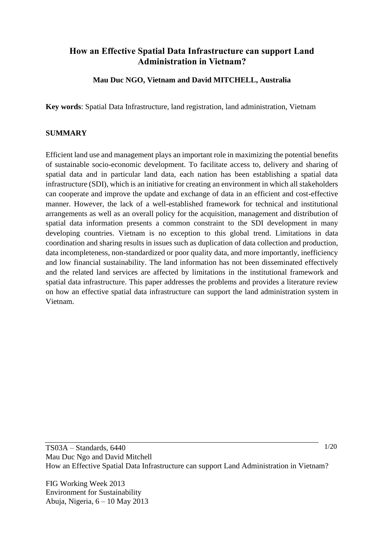# **How an Effective Spatial Data Infrastructure can support Land Administration in Vietnam?**

### **Mau Duc NGO, Vietnam and David MITCHELL, Australia**

**Key words**: Spatial Data Infrastructure, land registration, land administration, Vietnam

#### **SUMMARY**

Efficient land use and management plays an important role in maximizing the potential benefits of sustainable socio-economic development. To facilitate access to, delivery and sharing of spatial data and in particular land data, each nation has been establishing a spatial data infrastructure (SDI), which is an initiative for creating an environment in which all stakeholders can cooperate and improve the update and exchange of data in an efficient and cost-effective manner. However, the lack of a well-established framework for technical and institutional arrangements as well as an overall policy for the acquisition, management and distribution of spatial data information presents a common constraint to the SDI development in many developing countries. Vietnam is no exception to this global trend. Limitations in data coordination and sharing results in issues such as duplication of data collection and production, data incompleteness, non-standardized or poor quality data, and more importantly, inefficiency and low financial sustainability. The land information has not been disseminated effectively and the related land services are affected by limitations in the institutional framework and spatial data infrastructure. This paper addresses the problems and provides a literature review on how an effective spatial data infrastructure can support the land administration system in Vietnam.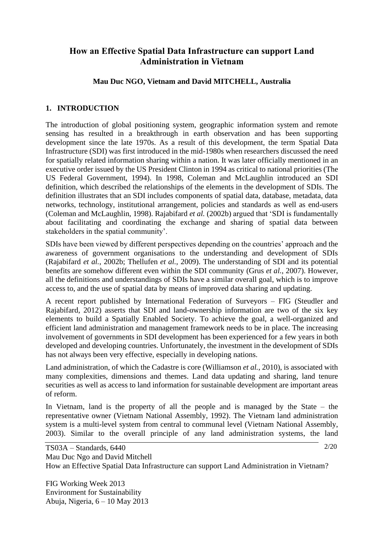# **How an Effective Spatial Data Infrastructure can support Land Administration in Vietnam**

### **Mau Duc NGO, Vietnam and David MITCHELL, Australia**

### **1. INTRODUCTION**

The introduction of global positioning system, geographic information system and remote sensing has resulted in a breakthrough in earth observation and has been supporting development since the late 1970s. As a result of this development, the term Spatial Data Infrastructure (SDI) was first introduced in the mid-1980s when researchers discussed the need for spatially related information sharing within a nation. It was later officially mentioned in an executive order issued by the US President Clinton in 1994 as critical to national priorities (The US Federal Government, 1994). In 1998, Coleman and McLaughlin introduced an SDI definition, which described the relationships of the elements in the development of SDIs. The definition illustrates that an SDI includes components of spatial data, database, metadata, data networks, technology, institutional arrangement, policies and standards as well as end-users (Coleman and McLaughlin, 1998). Rajabifard *et al.* (2002b) argued that 'SDI is fundamentally about facilitating and coordinating the exchange and sharing of spatial data between stakeholders in the spatial community'.

SDIs have been viewed by different perspectives depending on the countries' approach and the awareness of government organisations to the understanding and development of SDIs (Rajabifard *et al.*, 2002b; Thellufen *et al.*, 2009). The understanding of SDI and its potential benefits are somehow different even within the SDI community (Grus *et al.*, 2007). However, all the definitions and understandings of SDIs have a similar overall goal, which is to improve access to, and the use of spatial data by means of improved data sharing and updating.

A recent report published by International Federation of Surveyors – FIG (Steudler and Rajabifard, 2012) asserts that SDI and land-ownership information are two of the six key elements to build a Spatially Enabled Society. To achieve the goal, a well-organized and efficient land administration and management framework needs to be in place. The increasing involvement of governments in SDI development has been experienced for a few years in both developed and developing countries. Unfortunately, the investment in the development of SDIs has not always been very effective, especially in developing nations.

Land administration, of which the Cadastre is core (Williamson *et al.*, 2010), is associated with many complexities, dimensions and themes. Land data updating and sharing, land tenure securities as well as access to land information for sustainable development are important areas of reform.

In Vietnam, land is the property of all the people and is managed by the State – the representative owner (Vietnam National Assembly, 1992). The Vietnam land administration system is a multi-level system from central to communal level (Vietnam National Assembly, 2003). Similar to the overall principle of any land administration systems, the land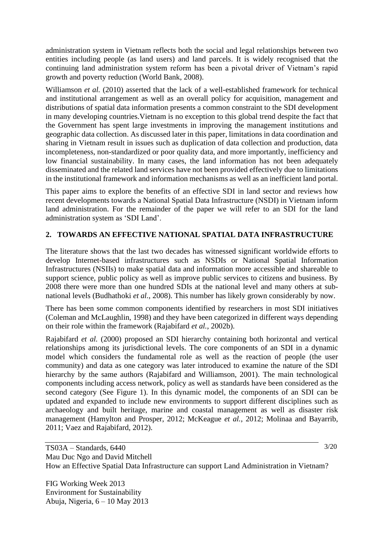administration system in Vietnam reflects both the social and legal relationships between two entities including people (as land users) and land parcels. It is widely recognised that the continuing land administration system reform has been a pivotal driver of Vietnam's rapid growth and poverty reduction (World Bank, 2008).

Williamson *et al.* (2010) asserted that the lack of a well-established framework for technical and institutional arrangement as well as an overall policy for acquisition, management and distributions of spatial data information presents a common constraint to the SDI development in many developing countries.Vietnam is no exception to this global trend despite the fact that the Government has spent large investments in improving the management institutions and geographic data collection. As discussed later in this paper, limitations in data coordination and sharing in Vietnam result in issues such as duplication of data collection and production, data incompleteness, non-standardized or poor quality data, and more importantly, inefficiency and low financial sustainability. In many cases, the land information has not been adequately disseminated and the related land services have not been provided effectively due to limitations in the institutional framework and information mechanisms as well as an inefficient land portal.

This paper aims to explore the benefits of an effective SDI in land sector and reviews how recent developments towards a National Spatial Data Infrastructure (NSDI) in Vietnam inform land administration. For the remainder of the paper we will refer to an SDI for the land administration system as 'SDI Land'.

### **2. TOWARDS AN EFFECTIVE NATIONAL SPATIAL DATA INFRASTRUCTURE**

The literature shows that the last two decades has witnessed significant worldwide efforts to develop Internet-based infrastructures such as NSDIs or National Spatial Information Infrastructures (NSIIs) to make spatial data and information more accessible and shareable to support science, public policy as well as improve public services to citizens and business. By 2008 there were more than one hundred SDIs at the national level and many others at subnational levels (Budhathoki *et al.*, 2008). This number has likely grown considerably by now.

There has been some common components identified by researchers in most SDI initiatives (Coleman and McLaughlin, 1998) and they have been categorized in different ways depending on their role within the framework (Rajabifard *et al.*, 2002b).

Rajabifard *et al.* (2000) proposed an SDI hierarchy containing both horizontal and vertical relationships among its jurisdictional levels. The core components of an SDI in a dynamic model which considers the fundamental role as well as the reaction of people (the user community) and data as one category was later introduced to examine the nature of the SDI hierarchy by the same authors (Rajabifard and Williamson, 2001). The main technological components including access network, policy as well as standards have been considered as the second category (See Figure 1). In this dynamic model, the components of an SDI can be updated and expanded to include new environments to support different disciplines such as archaeology and built heritage, marine and coastal management as well as disaster risk management (Hamylton and Prosper, 2012; McKeague *et al.*, 2012; Molinaa and Bayarrib, 2011; Vaez and Rajabifard, 2012).

FIG Working Week 2013 Environment for Sustainability Abuja, Nigeria, 6 – 10 May 2013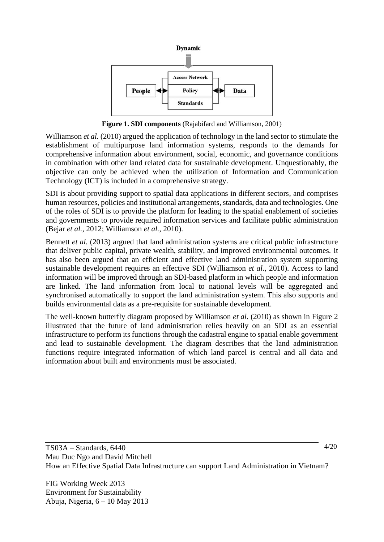

**Figure 1. SDI components** (Rajabifard and Williamson, 2001)

Williamson *et al.* (2010) argued the application of technology in the land sector to stimulate the establishment of multipurpose land information systems, responds to the demands for comprehensive information about environment, social, economic, and governance conditions in combination with other land related data for sustainable development. Unquestionably, the objective can only be achieved when the utilization of Information and Communication Technology (ICT) is included in a comprehensive strategy.

SDI is about providing support to spatial data applications in different sectors, and comprises human resources, policies and institutional arrangements, standards, data and technologies. One of the roles of SDI is to provide the platform for leading to the spatial enablement of societies and governments to provide required information services and facilitate public administration (Bejar *et al.*, 2012; Williamson *et al.*, 2010).

Bennett *et al.* (2013) argued that land administration systems are critical public infrastructure that deliver public capital, private wealth, stability, and improved environmental outcomes. It has also been argued that an efficient and effective land administration system supporting sustainable development requires an effective SDI (Williamson *et al.*, 2010). Access to land information will be improved through an SDI-based platform in which people and information are linked. The land information from local to national levels will be aggregated and synchronised automatically to support the land administration system. This also supports and builds environmental data as a pre-requisite for sustainable development.

The well-known butterfly diagram proposed by Williamson *et al.* (2010) as shown in Figure 2 illustrated that the future of land administration relies heavily on an SDI as an essential infrastructure to perform its functions through the cadastral engine to spatial enable government and lead to sustainable development. The diagram describes that the land administration functions require integrated information of which land parcel is central and all data and information about built and environments must be associated.

FIG Working Week 2013 Environment for Sustainability Abuja, Nigeria, 6 – 10 May 2013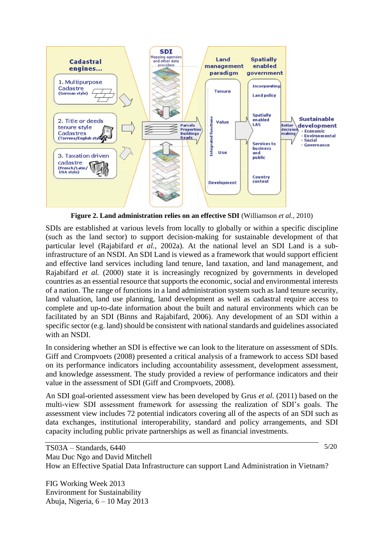

**Figure 2. Land administration relies on an effective SDI** (Williamson *et al.*, 2010)

SDIs are established at various levels from locally to globally or within a specific discipline (such as the land sector) to support decision-making for sustainable development of that particular level (Rajabifard *et al.*, 2002a). At the national level an SDI Land is a subinfrastructure of an NSDI. An SDI Land is viewed as a framework that would support efficient and effective land services including land tenure, land taxation, and land management, and Rajabifard *et al.* (2000) state it is increasingly recognized by governments in developed countries as an essential resource that supports the economic, social and environmental interests of a nation. The range of functions in a land administration system such as land tenure security, land valuation, land use planning, land development as well as cadastral require access to complete and up-to-date information about the built and natural environments which can be facilitated by an SDI (Binns and Rajabifard, 2006). Any development of an SDI within a specific sector (e.g. land) should be consistent with national standards and guidelines associated with an NSDI.

In considering whether an SDI is effective we can look to the literature on assessment of SDIs. Giff and Crompvoets (2008) presented a critical analysis of a framework to access SDI based on its performance indicators including accountability assessment, development assessment, and knowledge assessment. The study provided a review of performance indicators and their value in the assessment of SDI (Giff and Crompvoets, 2008).

An SDI goal-oriented assessment view has been developed by Grus *et al.* (2011) based on the multi-view SDI assessment framework for assessing the realization of SDI's goals. The assessment view includes 72 potential indicators covering all of the aspects of an SDI such as data exchanges, institutional interoperability, standard and policy arrangements, and SDI capacity including public private partnerships as well as financial investments.

FIG Working Week 2013 Environment for Sustainability Abuja, Nigeria, 6 – 10 May 2013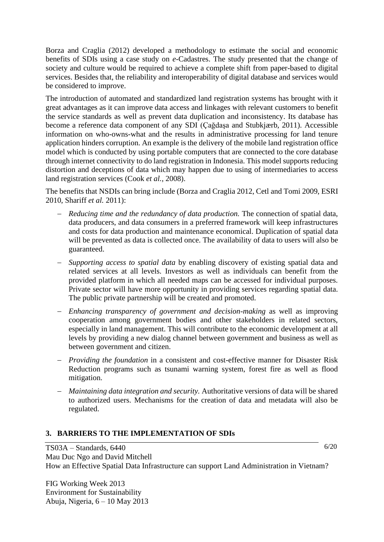Borza and Craglia (2012) developed a methodology to estimate the social and economic benefits of SDIs using a case study on *e-*Cadastres. The study presented that the change of society and culture would be required to achieve a complete shift from paper-based to digital services. Besides that, the reliability and interoperability of digital database and services would be considered to improve.

The introduction of automated and standardized land registration systems has brought with it great advantages as it can improve data access and linkages with relevant customers to benefit the service standards as well as prevent data duplication and inconsistency. Its database has become a reference data component of any SDI (Çağdaşa and Stubkjærb, 2011). Accessible information on who-owns-what and the results in administrative processing for land tenure application hinders corruption. An example is the delivery of the mobile land registration office model which is conducted by using portable computers that are connected to the core database through internet connectivity to do land registration in Indonesia. This model supports reducing distortion and deceptions of data which may happen due to using of intermediaries to access land registration services (Cook *et al.*, 2008).

The benefits that NSDIs can bring include (Borza and Craglia 2012, Cetl and Tomi 2009, ESRI 2010, Shariff *et al.* 2011):

- − *Reducing time and the redundancy of data production.* The connection of spatial data, data producers, and data consumers in a preferred framework will keep infrastructures and costs for data production and maintenance economical. Duplication of spatial data will be prevented as data is collected once. The availability of data to users will also be guaranteed.
- − *Supporting access to spatial data* by enabling discovery of existing spatial data and related services at all levels. Investors as well as individuals can benefit from the provided platform in which all needed maps can be accessed for individual purposes. Private sector will have more opportunity in providing services regarding spatial data. The public private partnership will be created and promoted.
- − *Enhancing transparency of government and decision-making* as well as improving cooperation among government bodies and other stakeholders in related sectors, especially in land management. This will contribute to the economic development at all levels by providing a new dialog channel between government and business as well as between government and citizen.
- − *Providing the foundation* in a consistent and cost-effective manner for Disaster Risk Reduction programs such as tsunami warning system, forest fire as well as flood mitigation.
- − *Maintaining data integration and security.* Authoritative versions of data will be shared to authorized users. Mechanisms for the creation of data and metadata will also be regulated.

### **3. BARRIERS TO THE IMPLEMENTATION OF SDIs**

6/20

TS03A – Standards, 6440 Mau Duc Ngo and David Mitchell How an Effective Spatial Data Infrastructure can support Land Administration in Vietnam?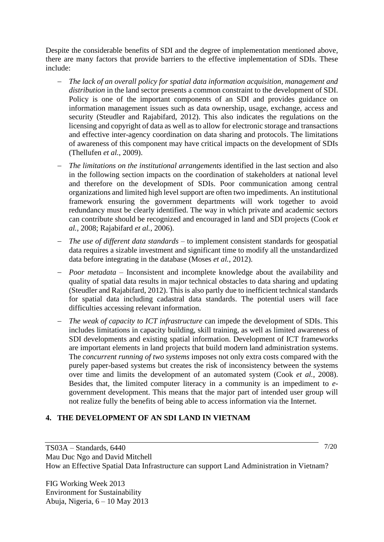Despite the considerable benefits of SDI and the degree of implementation mentioned above, there are many factors that provide barriers to the effective implementation of SDIs. These include:

- − *The lack of an overall policy for spatial data information acquisition, management and distribution* in the land sector presents a common constraint to the development of SDI. Policy is one of the important components of an SDI and provides guidance on information management issues such as data ownership, usage, exchange, access and security (Steudler and Rajabifard, 2012). This also indicates the regulations on the licensing and copyright of data as well as to allow for electronic storage and transactions and effective inter-agency coordination on data sharing and protocols. The limitations of awareness of this component may have critical impacts on the development of SDIs (Thellufen *et al.*, 2009).
- − *The limitations on the institutional arrangements* identified in the last section and also in the following section impacts on the coordination of stakeholders at national level and therefore on the development of SDIs. Poor communication among central organizations and limited high level support are often two impediments. An institutional framework ensuring the government departments will work together to avoid redundancy must be clearly identified. The way in which private and academic sectors can contribute should be recognized and encouraged in land and SDI projects (Cook *et al.*, 2008; Rajabifard *et al.*, 2006).
- − *The use of different data standards –* to implement consistent standards for geospatial data requires a sizable investment and significant time to modify all the unstandardized data before integrating in the database (Moses *et al.*, 2012).
- − *Poor metadata*  Inconsistent and incomplete knowledge about the availability and quality of spatial data results in major technical obstacles to data sharing and updating (Steudler and Rajabifard, 2012). This is also partly due to inefficient technical standards for spatial data including cadastral data standards. The potential users will face difficulties accessing relevant information.
- − *The weak of capacity to ICT infrastructure* can impede the development of SDIs. This includes limitations in capacity building, skill training, as well as limited awareness of SDI developments and existing spatial information. Development of ICT frameworks are important elements in land projects that build modern land administration systems. The *concurrent running of two systems* imposes not only extra costs compared with the purely paper-based systems but creates the risk of inconsistency between the systems over time and limits the development of an automated system (Cook *et al.*, 2008). Besides that, the limited computer literacy in a community is an impediment to *e*government development. This means that the major part of intended user group will not realize fully the benefits of being able to access information via the Internet.

### **4. THE DEVELOPMENT OF AN SDI LAND IN VIETNAM**

TS03A – Standards, 6440 Mau Duc Ngo and David Mitchell How an Effective Spatial Data Infrastructure can support Land Administration in Vietnam?

FIG Working Week 2013 Environment for Sustainability Abuja, Nigeria, 6 – 10 May 2013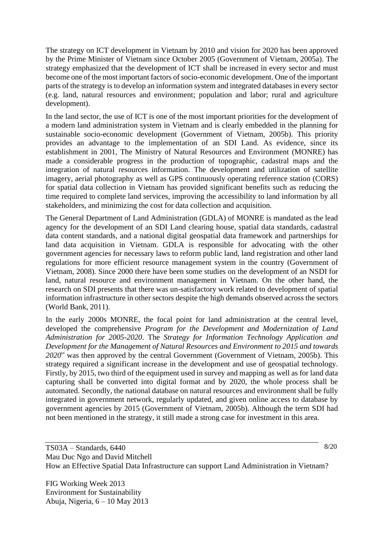The strategy on ICT development in Vietnam by 2010 and vision for 2020 has been approved by the Prime Minister of Vietnam since October 2005 (Government of Vietnam, 2005a). The strategy emphasized that the development of ICT shall be increased in every sector and must become one of the most important factors of socio-economic development. One of the important parts of the strategy is to develop an information system and integrated databases in every sector (e.g. land, natural resources and environment; population and labor; rural and agriculture development).

In the land sector, the use of ICT is one of the most important priorities for the development of a modern land administration system in Vietnam and is clearly embedded in the planning for sustainable socio-economic development (Government of Vietnam, 2005b). This priority provides an advantage to the implementation of an SDI Land. As evidence, since its establishment in 2001, The Ministry of Natural Resources and Environment (MONRE) has made a considerable progress in the production of topographic, cadastral maps and the integration of natural resources information. The development and utilization of satellite imagery, aerial photography as well as GPS continuously operating reference station (CORS) for spatial data collection in Vietnam has provided significant benefits such as reducing the time required to complete land services, improving the accessibility to land information by all stakeholders, and minimizing the cost for data collection and acquisition.

The General Department of Land Administration (GDLA) of MONRE is mandated as the lead agency for the development of an SDI Land clearing house, spatial data standards, cadastral data content standards, and a national digital geospatial data framework and partnerships for land data acquisition in Vietnam. GDLA is responsible for advocating with the other government agencies for necessary laws to reform public land, land registration and other land regulations for more efficient resource management system in the country (Government of Vietnam, 2008). Since 2000 there have been some studies on the development of an NSDI for land, natural resource and environment management in Vietnam. On the other hand, the research on SDI presents that there was un-satisfactory work related to development of spatial information infrastructure in other sectors despite the high demands observed across the sectors (World Bank, 2011).

In the early 2000s MONRE, the focal point for land administration at the central level, developed the comprehensive *Program for the Development and Modernization of Land Administration for 2005-2020*. The *Strategy for Information Technology Application and Development for the Management of Natural Resources and Environment to 2015 and towards 2020*" was then approved by the central Government (Government of Vietnam, 2005b). This strategy required a significant increase in the development and use of geospatial technology. Firstly, by 2015, two third of the equipment used in survey and mapping as well as for land data capturing shall be converted into digital format and by 2020, the whole process shall be automated. Secondly, the national database on natural resources and environment shall be fully integrated in government network, regularly updated, and given online access to database by government agencies by 2015 (Government of Vietnam, 2005b). Although the term SDI had not been mentioned in the strategy, it still made a strong case for investment in this area.

FIG Working Week 2013 Environment for Sustainability Abuja, Nigeria, 6 – 10 May 2013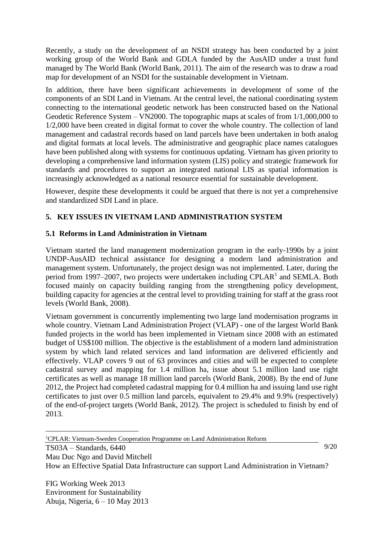Recently, a study on the development of an NSDI strategy has been conducted by a joint working group of the World Bank and GDLA funded by the AusAID under a trust fund managed by The World Bank (World Bank, 2011). The aim of the research was to draw a road map for development of an NSDI for the sustainable development in Vietnam.

In addition, there have been significant achievements in development of some of the components of an SDI Land in Vietnam. At the central level, the national coordinating system connecting to the international geodetic network has been constructed based on the National Geodetic Reference System – VN2000. The topographic maps at scales of from 1/1,000,000 to 1/2,000 have been created in digital format to cover the whole country. The collection of land management and cadastral records based on land parcels have been undertaken in both analog and digital formats at local levels. The administrative and geographic place names catalogues have been published along with systems for continuous updating. Vietnam has given priority to developing a comprehensive land information system (LIS) policy and strategic framework for standards and procedures to support an integrated national LIS as spatial information is increasingly acknowledged as a national resource essential for sustainable development.

However, despite these developments it could be argued that there is not yet a comprehensive and standardized SDI Land in place.

### **5. KEY ISSUES IN VIETNAM LAND ADMINISTRATION SYSTEM**

#### **5.1 Reforms in Land Administration in Vietnam**

Vietnam started the land management modernization program in the early-1990s by a joint UNDP-AusAID technical assistance for designing a modern land administration and management system. Unfortunately, the project design was not implemented. Later, during the period from 1997–2007, two projects were undertaken including CPLAR<sup>1</sup> and SEMLA. Both focused mainly on capacity building ranging from the strengthening policy development, building capacity for agencies at the central level to providing training for staff at the grass root levels (World Bank, 2008).

Vietnam government is concurrently implementing two large land modernisation programs in whole country. Vietnam Land Administration Project (VLAP) - one of the largest World Bank funded projects in the world has been implemented in Vietnam since 2008 with an estimated budget of US\$100 million. The objective is the establishment of a modern land administration system by which land related services and land information are delivered efficiently and effectively. VLAP covers 9 out of 63 provinces and cities and will be expected to complete cadastral survey and mapping for 1.4 million ha, issue about 5.1 million land use right certificates as well as manage 18 million land parcels (World Bank, 2008). By the end of June 2012, the Project had completed cadastral mapping for 0.4 million ha and issuing land use right certificates to just over 0.5 million land parcels, equivalent to 29.4% and 9.9% (respectively) of the end-of-project targets (World Bank, 2012). The project is scheduled to finish by end of 2013.

<sup>1</sup>CPLAR: Vietnam-Sweden Cooperation Programme on Land Administration Reform

9/20

TS03A – Standards, 6440 Mau Duc Ngo and David Mitchell

How an Effective Spatial Data Infrastructure can support Land Administration in Vietnam?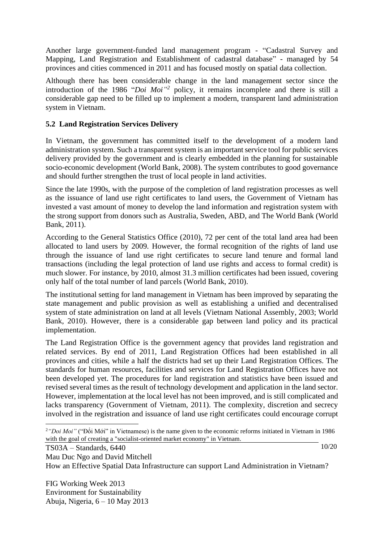Another large government-funded land management program - "Cadastral Survey and Mapping, Land Registration and Establishment of cadastral database" - managed by 54 provinces and cities commenced in 2011 and has focused mostly on spatial data collection.

Although there has been considerable change in the land management sector since the introduction of the 1986 "*Doi Moi" 2* policy, it remains incomplete and there is still a considerable gap need to be filled up to implement a modern, transparent land administration system in Vietnam.

### **5.2 Land Registration Services Delivery**

In Vietnam, the government has committed itself to the development of a modern land administration system. Such a transparent system is an important service tool for public services delivery provided by the government and is clearly embedded in the planning for sustainable socio-economic development (World Bank, 2008). The system contributes to good governance and should further strengthen the trust of local people in land activities.

Since the late 1990s, with the purpose of the completion of land registration processes as well as the issuance of land use right certificates to land users, the Government of Vietnam has invested a vast amount of money to develop the land information and registration system with the strong support from donors such as Australia, Sweden, ABD, and The World Bank (World Bank, 2011).

According to the General Statistics Office (2010), 72 per cent of the total land area had been allocated to land users by 2009. However, the formal recognition of the rights of land use through the issuance of land use right certificates to secure land tenure and formal land transactions (including the legal protection of land use rights and access to formal credit) is much slower. For instance, by 2010, almost 31.3 million certificates had been issued, covering only half of the total number of land parcels (World Bank, 2010).

The institutional setting for land management in Vietnam has been improved by separating the state management and public provision as well as establishing a unified and decentralised system of state administration on land at all levels (Vietnam National Assembly, 2003; World Bank, 2010). However, there is a considerable gap between land policy and its practical implementation.

The Land Registration Office is the government agency that provides land registration and related services. By end of 2011, Land Registration Offices had been established in all provinces and cities, while a half the districts had set up their Land Registration Offices. The standards for human resources, facilities and services for Land Registration Offices have not been developed yet. The procedures for land registration and statistics have been issued and revised several times as the result of technology development and application in the land sector. However, implementation at the local level has not been improved, and is still complicated and lacks transparency (Government of Vietnam, 2011). The complexity, discretion and secrecy involved in the registration and issuance of land use right certificates could encourage corrupt

10/20

Mau Duc Ngo and David Mitchell

TS03A – Standards, 6440

How an Effective Spatial Data Infrastructure can support Land Administration in Vietnam?

<sup>2</sup>*"Doi Moi"* ("Đổi Mới" in Vietnamese) is the name given to the economic reforms initiated in [Vietnam](http://en.wikipedia.org/wiki/Vietnam) in 1986 with the goal of creating a ["socialist-oriented market economy"](http://en.wikipedia.org/wiki/Socialist-oriented_market_economy) in Vietnam.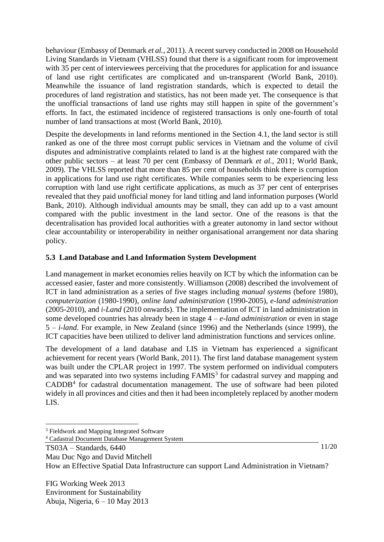behaviour (Embassy of Denmark *et al.*, 2011). A recent survey conducted in 2008 on Household Living Standards in Vietnam (VHLSS) found that there is a significant room for improvement with 35 per cent of interviewees perceiving that the procedures for application for and issuance of land use right certificates are complicated and un-transparent (World Bank, 2010). Meanwhile the issuance of land registration standards, which is expected to detail the procedures of land registration and statistics, has not been made yet. The consequence is that the unofficial transactions of land use rights may still happen in spite of the government's efforts. In fact, the estimated incidence of registered transactions is only one-fourth of total number of land transactions at most (World Bank, 2010).

Despite the developments in land reforms mentioned in the Section 4.1, the land sector is still ranked as one of the three most corrupt public services in Vietnam and the volume of civil disputes and administrative complaints related to land is at the highest rate compared with the other public sectors – at least 70 per cent (Embassy of Denmark *et al.*, 2011; World Bank, 2009). The VHLSS reported that more than 85 per cent of households think there is corruption in applications for land use right certificates. While companies seem to be experiencing less corruption with land use right certificate applications, as much as 37 per cent of enterprises revealed that they paid unofficial money for land titling and land information purposes (World Bank, 2010). Although individual amounts may be small, they can add up to a vast amount compared with the public investment in the land sector. One of the reasons is that the decentralisation has provided local authorities with a greater autonomy in land sector without clear accountability or interoperability in neither organisational arrangement nor data sharing policy.

## **5.3 Land Database and Land Information System Development**

Land management in market economies relies heavily on ICT by which the information can be accessed easier, faster and more consistently. Williamson (2008) described the involvement of ICT in land administration as a series of five stages including *manual systems* (before 1980), *computerization* (1980-1990), *online land administration* (1990-2005), *e-land administration* (2005-2010), and *i-Land* (2010 onwards). The implementation of ICT in land administration in some developed countries has already been in stage 4 – *e-land administration* or even in stage 5 – *i-land*. For example, in New Zealand (since 1996) and the Netherlands (since 1999), the ICT capacities have been utilized to deliver land administration functions and services online.

The development of a land database and LIS in Vietnam has experienced a significant achievement for recent years (World Bank, 2011). The first land database management system was built under the CPLAR project in 1997. The system performed on individual computers and was separated into two systems including  $FAMIS<sup>3</sup>$  for cadastral survey and mapping and  $CADDB<sup>4</sup>$  for cadastral documentation management. The use of software had been piloted widely in all provinces and cities and then it had been incompletely replaced by another modern LIS.

<sup>4</sup> Cadastral Document Database Management System

How an Effective Spatial Data Infrastructure can support Land Administration in Vietnam?

FIG Working Week 2013 Environment for Sustainability Abuja, Nigeria, 6 – 10 May 2013

<sup>&</sup>lt;sup>3</sup> Fieldwork and Mapping Integrated Software

TS03A – Standards, 6440

Mau Duc Ngo and David Mitchell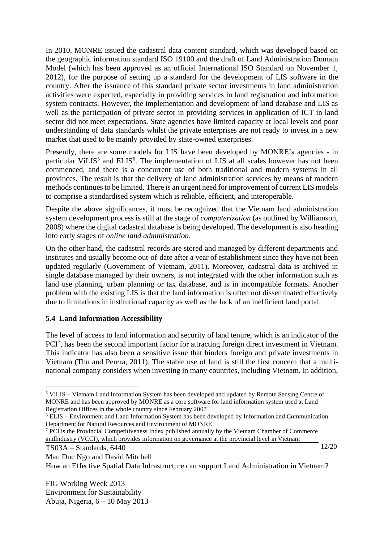In 2010, MONRE issued the cadastral data content standard, which was developed based on the geographic information standard ISO 19100 and the draft of Land Administration Domain Model (which has been approved as an official International ISO Standard on November 1, 2012), for the purpose of setting up a standard for the development of LIS software in the country. After the issuance of this standard private sector investments in land administration activities were expected, especially in providing services in land registration and information system contracts. However, the implementation and development of land database and LIS as well as the participation of private sector in providing services in application of ICT in land sector did not meet expectations. State agencies have limited capacity at local levels and poor understanding of data standards whilst the private enterprises are not ready to invest in a new market that used to be mainly provided by state-owned enterprises.

Presently, there are some models for LIS have been developed by MONRE's agencies - in particular ViLIS<sup>5</sup> and ELIS<sup>6</sup>. The implementation of LIS at all scales however has not been commenced, and there is a concurrent use of both traditional and modern systems in all provinces. The result is that the delivery of land administration services by means of modern methods continues to be limited. There is an urgent need for improvement of current LIS models to comprise a standardised system which is reliable, efficient, and interoperable.

Despite the above significances, it must be recognized that the Vietnam land administration system development process is still at the stage of *computerization* (as outlined by Williamson, 2008) where the digital cadastral database is being developed. The development is also heading into early stages of *online land administration*.

On the other hand, the cadastral records are stored and managed by different departments and institutes and usually become out-of-date after a year of establishment since they have not been updated regularly (Government of Vietnam, 2011). Moreover, cadastral data is archived in single database managed by their owners, is not integrated with the other information such as land use planning, urban planning or tax database, and is in incompatible formats. Another problem with the existing LIS is that the land information is often not disseminated effectively due to limitations in institutional capacity as well as the lack of an inefficient land portal.

### **5.4 Land Information Accessibility**

The level of access to land information and security of land tenure, which is an indicator of the PCI<sup>7</sup>, has been the second important factor for attracting foreign direct investment in Vietnam. This indicator has also been a sensitive issue that hinders foreign and private investments in Vietnam (Thu and Perera, 2011). The stable use of land is still the first concern that a multinational company considers when investing in many countries, including Vietnam. In addition,

How an Effective Spatial Data Infrastructure can support Land Administration in Vietnam?

<sup>5</sup> ViLIS – Vietnam Land Information System has been developed and updated by Remote Sensing Centre of MONRE and has been approved by MONRE as a core software for land information system used at Land Registration Offices in the whole country since February 2007

<sup>6</sup> ELIS – Environment and Land Information System has been developed by Information and Communication Department for Natural Resources and Environment of MONRE

<sup>7</sup> PCI is the Provincial Competitiveness Index published annually by the Vietnam Chamber of Commerce andIndustry (VCCI), which provides information on governance at the provincial level in Vietnam

TS03A – Standards, 6440

Mau Duc Ngo and David Mitchell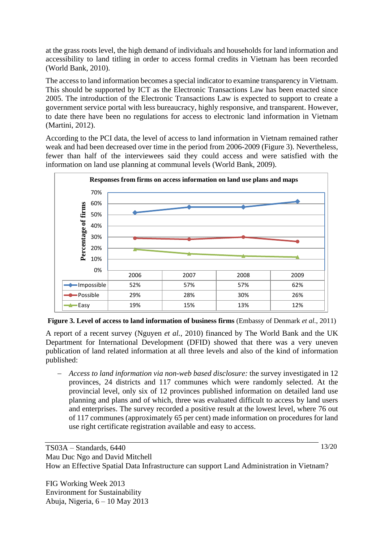at the grass roots level, the high demand of individuals and households for land information and accessibility to land titling in order to access formal credits in Vietnam has been recorded (World Bank, 2010).

The access to land information becomes a special indicator to examine transparency in Vietnam. This should be supported by ICT as the Electronic Transactions Law has been enacted since 2005. The introduction of the Electronic Transactions Law is expected to support to create a government service portal with less bureaucracy, highly responsive, and transparent. However, to date there have been no regulations for access to electronic land information in Vietnam (Martini, 2012).

According to the PCI data, the level of access to land information in Vietnam remained rather weak and had been decreased over time in the period from 2006-2009 (Figure 3). Nevertheless, fewer than half of the interviewees said they could access and were satisfied with the information on land use planning at communal levels (World Bank, 2009).



**Figure 3. Level of access to land information of business firms** (Embassy of Denmark *et al.*, 2011)

A report of a recent survey (Nguyen *et al.*, 2010) financed by The World Bank and the UK Department for International Development (DFID) showed that there was a very uneven publication of land related information at all three levels and also of the kind of information published:

− *Access to land information via non-web based disclosure:* the survey investigated in 12 provinces, 24 districts and 117 communes which were randomly selected. At the provincial level, only six of 12 provinces published information on detailed land use planning and plans and of which, three was evaluated difficult to access by land users and enterprises. The survey recorded a positive result at the lowest level, where 76 out of 117 communes (approximately 65 per cent) made information on procedures for land use right certificate registration available and easy to access.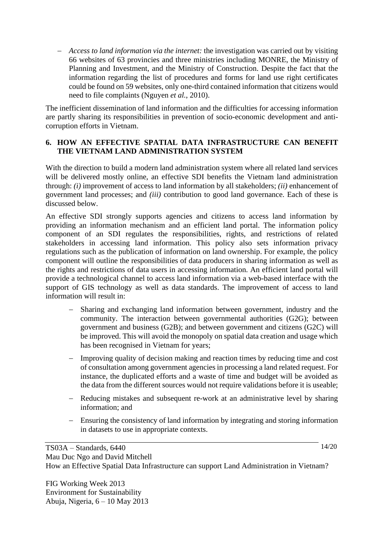− *Access to land information via the internet:* the investigation was carried out by visiting 66 websites of 63 provincies and three ministries including MONRE, the Ministry of Planning and Investment, and the Ministry of Construction. Despite the fact that the information regarding the list of procedures and forms for land use right certificates could be found on 59 websites, only one-third contained information that citizens would need to file complaints (Nguyen *et al.*, 2010).

The inefficient dissemination of land information and the difficulties for accessing information are partly sharing its responsibilities in prevention of socio-economic development and anticorruption efforts in Vietnam.

### **6. HOW AN EFFECTIVE SPATIAL DATA INFRASTRUCTURE CAN BENEFIT THE VIETNAM LAND ADMINISTRATION SYSTEM**

With the direction to build a modern land administration system where all related land services will be delivered mostly online, an effective SDI benefits the Vietnam land administration through: *(i)* improvement of access to land information by all stakeholders; *(ii)* enhancement of government land processes; and *(iii)* contribution to good land governance. Each of these is discussed below.

An effective SDI strongly supports agencies and citizens to access land information by providing an information mechanism and an efficient land portal. The information policy component of an SDI regulates the responsibilities, rights, and restrictions of related stakeholders in accessing land information. This policy also sets information privacy regulations such as the publication of information on land ownership. For example, the policy component will outline the responsibilities of data producers in sharing information as well as the rights and restrictions of data users in accessing information. An efficient land portal will provide a technological channel to access land information via a web-based interface with the support of GIS technology as well as data standards. The improvement of access to land information will result in:

- Sharing and exchanging land information between government, industry and the community. The interaction between governmental authorities (G2G); between government and business (G2B); and between government and citizens (G2C) will be improved. This will avoid the monopoly on spatial data creation and usage which has been recognised in Vietnam for years;
- − Improving quality of decision making and reaction times by reducing time and cost of consultation among government agencies in processing a land related request. For instance, the duplicated efforts and a waste of time and budget will be avoided as the data from the different sources would not require validations before it is useable;
- − Reducing mistakes and subsequent re-work at an administrative level by sharing information; and
- − Ensuring the consistency of land information by integrating and storing information in datasets to use in appropriate contexts.

TS03A – Standards, 6440 Mau Duc Ngo and David Mitchell How an Effective Spatial Data Infrastructure can support Land Administration in Vietnam?

FIG Working Week 2013 Environment for Sustainability Abuja, Nigeria, 6 – 10 May 2013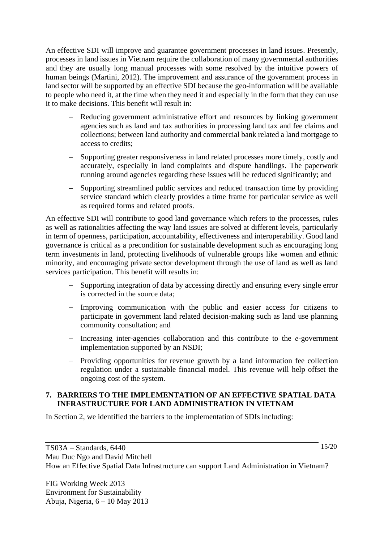An effective SDI will improve and guarantee government processes in land issues. Presently, processes in land issues in Vietnam require the collaboration of many governmental authorities and they are usually long manual processes with some resolved by the intuitive powers of human beings (Martini, 2012). The improvement and assurance of the government process in land sector will be supported by an effective SDI because the geo-information will be available to people who need it, at the time when they need it and especially in the form that they can use it to make decisions. This benefit will result in:

- − Reducing government administrative effort and resources by linking government agencies such as land and tax authorities in processing land tax and fee claims and collections; between land authority and commercial bank related a land mortgage to access to credits;
- − Supporting greater responsiveness in land related processes more timely, costly and accurately, especially in land complaints and dispute handlings. The paperwork running around agencies regarding these issues will be reduced significantly; and
- − Supporting streamlined public services and reduced transaction time by providing service standard which clearly provides a time frame for particular service as well as required forms and related proofs.

An effective SDI will contribute to good land governance which refers to the processes, rules as well as rationalities affecting the way land issues are solved at different levels, particularly in term of openness, participation, accountability, effectiveness and interoperability. Good land governance is critical as a precondition for sustainable development such as encouraging long term investments in land, protecting livelihoods of vulnerable groups like women and ethnic minority, and encouraging private sector development through the use of land as well as land services participation. This benefit will results in:

- − Supporting integration of data by accessing directly and ensuring every single error is corrected in the source data;
- − Improving communication with the public and easier access for citizens to participate in government land related decision-making such as land use planning community consultation; and
- − Increasing inter-agencies collaboration and this contribute to the *e-*government implementation supported by an NSDI;
- − Providing opportunities for revenue growth by a land information fee collection regulation under a sustainable financial model. This revenue will help offset the ongoing cost of the system.

### **7. BARRIERS TO THE IMPLEMENTATION OF AN EFFECTIVE SPATIAL DATA INFRASTRUCTURE FOR LAND ADMINISTRATION IN VIETNAM**

In Section 2, we identified the barriers to the implementation of SDIs including:

FIG Working Week 2013 Environment for Sustainability Abuja, Nigeria, 6 – 10 May 2013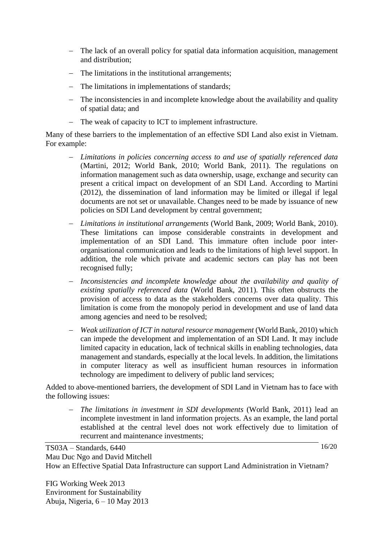- − The lack of an overall policy for spatial data information acquisition, management and distribution;
- − The limitations in the institutional arrangements;
- − The limitations in implementations of standards;
- − The inconsistencies in and incomplete knowledge about the availability and quality of spatial data; and
- − The weak of capacity to ICT to implement infrastructure.

Many of these barriers to the implementation of an effective SDI Land also exist in Vietnam. For example:

- − *Limitations in policies concerning access to and use of spatially referenced data* (Martini, 2012; World Bank, 2010; World Bank, 2011). The regulations on information management such as data ownership, usage, exchange and security can present a critical impact on development of an SDI Land. According to Martini (2012), the dissemination of land information may be limited or illegal if legal documents are not set or unavailable. Changes need to be made by issuance of new policies on SDI Land development by central government;
- − *Limitations in institutional arrangements* (World Bank, 2009; World Bank, 2010). These limitations can impose considerable constraints in development and implementation of an SDI Land. This immature often include poor interorganisational communication and leads to the limitations of high level support. In addition, the role which private and academic sectors can play has not been recognised fully;
- − *Inconsistencies and incomplete knowledge about the availability and quality of existing spatially referenced data* (World Bank, 2011). This often obstructs the provision of access to data as the stakeholders concerns over data quality. This limitation is come from the monopoly period in development and use of land data among agencies and need to be resolved;
- − *Weak utilization of ICT in natural resource management* (World Bank, 2010) which can impede the development and implementation of an SDI Land. It may include limited capacity in education, lack of technical skills in enabling technologies, data management and standards, especially at the local levels. In addition, the limitations in computer literacy as well as insufficient human resources in information technology are impediment to delivery of public land services;

Added to above-mentioned barriers, the development of SDI Land in Vietnam has to face with the following issues:

− *The limitations in investment in SDI developments* (World Bank, 2011) lead an incomplete investment in land information projects. As an example, the land portal established at the central level does not work effectively due to limitation of recurrent and maintenance investments;

TS03A – Standards, 6440 Mau Duc Ngo and David Mitchell How an Effective Spatial Data Infrastructure can support Land Administration in Vietnam?

FIG Working Week 2013 Environment for Sustainability Abuja, Nigeria, 6 – 10 May 2013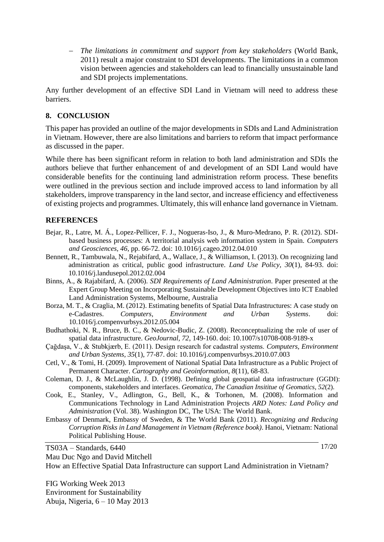− *The limitations in commitment and support from key stakeholders* (World Bank, 2011) result a major constraint to SDI developments. The limitations in a common vision between agencies and stakeholders can lead to financially unsustainable land and SDI projects implementations.

Any further development of an effective SDI Land in Vietnam will need to address these barriers.

#### **8. CONCLUSION**

This paper has provided an outline of the major developments in SDIs and Land Administration in Vietnam. However, there are also limitations and barriers to reform that impact performance as discussed in the paper.

While there has been significant reform in relation to both land administration and SDIs the authors believe that further enhancement of and development of an SDI Land would have considerable benefits for the continuing land administration reform process. These benefits were outlined in the previous section and include improved access to land information by all stakeholders, improve transparency in the land sector, and increase efficiency and effectiveness of existing projects and programmes. Ultimately, this will enhance land governance in Vietnam.

#### **REFERENCES**

- Bejar, R., Latre, M. Á., Lopez-Pellicer, F. J., Nogueras-Iso, J., & Muro-Medrano, P. R. (2012). SDIbased business processes: A territorial analysis web information system in Spain. *Computers and Geosciences, 46*, pp. 66-72. doi: 10.1016/j.cageo.2012.04.010
- Bennett, R., Tambuwala, N., Rejabifard, A., Wallace, J., & Williamson, I. (2013). On recognizing land administration as critical, public good infrastructure. *Land Use Policy, 30*(1), 84-93. doi: 10.1016/j.landusepol.2012.02.004
- Binns, A., & Rajabifard, A. (2006). *SDI Requirements of Land Administration*. Paper presented at the Expert Group Meeting on Incorporating Sustainable Development Objectives into ICT Enabled Land Administration Systems, Melbourne, Australia
- Borza, M. T., & Craglia, M. (2012). Estimating benefits of Spatial Data Infrastructures: A case study on e-Cadastres. *Computers, Environment and Urban Systems*. doi: 10.1016/j.compenvurbsys.2012.05.004
- Budhathoki, N. R., Bruce, B. C., & Nedovic-Budic, Z. (2008). Reconceptualizing the role of user of spatial data infrastructure. *GeoJournal, 72*, 149-160. doi: 10.1007/s10708-008-9189-x
- Çağdaşa, V., & Stubkjærb, E. (2011). Design research for cadastral systems. *Computers, Environment and Urban Systems, 35*(1), 77-87. doi: 10.1016/j.compenvurbsys.2010.07.003
- Cetl, V., & Tomi, H. (2009). Improvement of National Spatial Data Infrastructure as a Public Project of Permanent Character. *Cartography and Geoinformation, 8*(11), 68-83.
- Coleman, D. J., & McLaughlin, J. D. (1998). Defining global geospatial data infrastructure (GGDI): components, stakeholders and interfaces. *Geomatica, The Canadian Insititue of Geomatics, 52*(2).
- Cook, E., Stanley, V., Adlington, G., Bell, K., & Torhonen, M. (2008). Information and Communications Technology in Land Administration Projects *ARD Notes: Land Policy and Administration* (Vol. 38). Washington DC, The USA: The World Bank.
- Embassy of Denmark, Embassy of Sweden, & The World Bank (2011). *Recognizing and Reducing Corruption Risks in Land Management in Vietnam (Reference book)*. Hanoi, Vietnam: National Political Publishing House.

TS03A – Standards, 6440

Mau Duc Ngo and David Mitchell

How an Effective Spatial Data Infrastructure can support Land Administration in Vietnam?

FIG Working Week 2013 Environment for Sustainability Abuja, Nigeria, 6 – 10 May 2013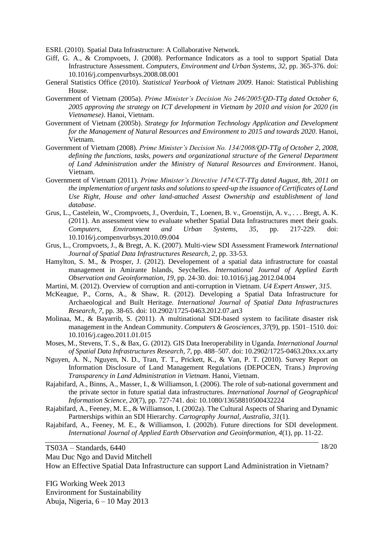ESRI. (2010). Spatial Data Infrastructure: A Collaborative Network.

- Giff, G. A., & Crompvoets, J. (2008). Performance Indicators as a tool to support Spatial Data Infrastructure Assessment. *Computers, Environment and Urban Systems, 32*, pp. 365-376. doi: 10.1016/j.compenvurbsys.2008.08.001
- General Statistics Office (2010). *Statistical Yearbook of Vietnam 2009*. Hanoi: Statistical Publishing House.
- Government of Vietnam (2005a). *Prime Minister's Decision No 246/2005/QD-TTg dated October 6, 2005 approving the strategy on ICT development in Vietnam by 2010 and vision for 2020 (in Vietnamese)*. Hanoi, Vietnam.
- Government of Vietnam (2005b). *Strategy for Information Technology Application and Development for the Management of Natural Resources and Environment to 2015 and towards 2020*. Hanoi, Vietnam.
- Government of Vietnam (2008). *Prime Minister's Decision No. 134/2008/QD-TTg of October 2, 2008, defining the functions, tasks, powers and organizational structure of the General Department of Land Administration under the Ministry of Natural Resources and Environment*. Hanoi, Vietnam.
- Government of Vietnam (2011). *Prime Minister's Directive 1474/CT-TTg dated August, 8th, 2011 on the implementation of urgent tasks and solutions to speed-up the issuance of Certificates of Land Use Right, House and other land-attached Assest Ownership and establishment of land database*.
- Grus, L., Castelein, W., Crompvoets, J., Overduin, T., Loenen, B. v., Groenstijn, A. v., . . . Bregt, A. K. (2011). An assessment view to evaluate whether Spatial Data Infrastructures meet their goals. *Computers, Environment and Urban Systems, 35*, pp. 217-229. doi: 10.1016/j.compenvurbsys.2010.09.004
- Grus, L., Crompvoets, J., & Bregt, A. K. (2007). Multi-view SDI Assessment Framework *International Journal of Spatial Data Infrastructures Research, 2*, pp. 33-53.
- Hamylton, S. M., & Prosper, J. (2012). Developement of a spatial data infrastructure for coastal management in Amirante Islands, Seychelles. *International Journal of Applied Earth Observation and Geoinformation, 19*, pp. 24-30. doi: 10.1016/j.jag.2012.04.004
- Martini, M. (2012). Overview of corruption and anti-corruption in Vietnam. *U4 Expert Answer, 315*.
- McKeague, P., Corns, A., & Shaw, R. (2012). Developing a Spatial Data Infrastructure for Archaeological and Built Heritage. *International Journal of Spatial Data Infrastructures Research, 7*, pp. 38-65. doi: 10.2902/1725-0463.2012.07.art3
- Molinaa, M., & Bayarrib, S. (2011). A multinational SDI-based system to facilitate disaster risk management in the Andean Community. *Computers & Geosciences, 37*(9), pp. 1501–1510. doi: 10.1016/j.cageo.2011.01.015
- Moses, M., Stevens, T. S., & Bax, G. (2012). GIS Data Ineroperability in Uganda. *International Journal of Spatial Data Infrastructures Research, 7*, pp. 488–507. doi: 10.2902/1725-0463.20xx.xx.arty
- Nguyen, A. N., Nguyen, N. D., Tran, T. T., Prickett, K., & Van, P. T. (2010). Survey Report on Information Disclosure of Land Management Regulations (DEPOCEN, Trans.) *Improving Transparency in Land Administration in Vietnam*. Hanoi, Vietnam.
- Rajabifard, A., Binns, A., Masser, I., & Williamson, I. (2006). The role of sub‐national government and the private sector in future spatial data infrastructures. *International Journal of Geographical Information Science, 20*(7), pp. 727-741. doi: 10.1080/13658810500432224
- Rajabifard, A., Feeney, M. E., & Williamson, I. (2002a). The Cultural Aspects of Sharing and Dynamic Partnerships within an SDI Hierarchy. *Cartography Journal, Australia, 31*(1).
- Rajabifard, A., Feeney, M. E., & Williamson, I. (2002b). Future directions for SDI development. *International Journal of Applied Earth Observation and Geoinformation, 4*(1), pp. 11-22.

TS03A – Standards, 6440

Mau Duc Ngo and David Mitchell

How an Effective Spatial Data Infrastructure can support Land Administration in Vietnam?

FIG Working Week 2013 Environment for Sustainability Abuja, Nigeria, 6 – 10 May 2013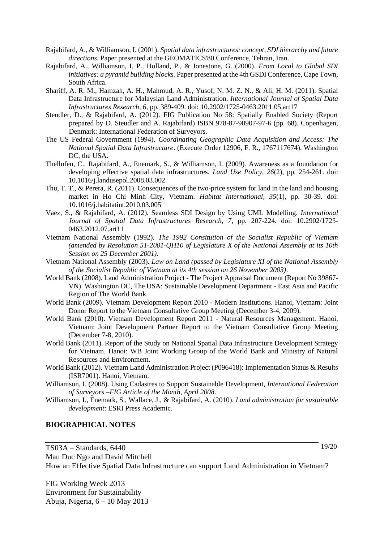- Rajabifard, A., & Williamson, I. (2001). *Spatial data infrastructures: concept, SDI hierarchy and future directions.* Paper presented at the GEOMATICS'80 Conference, Tehran, Iran.
- Rajabifard, A., Williamson, I. P., Holland, P., & Jonestone, G. (2000). *From Local to Global SDI initiatives: a pyramid building blocks.* Paper presented at the 4th GSDI Conference, Cape Town, South Africa.
- Shariff, A. R. M., Hamzah, A. H., Mahmud, A. R., Yusof, N. M. Z. N., & Ali, H. M. (2011). Spatial Data Infrastructure for Malaysian Land Administration. *International Journal of Spatial Data Infrastructures Research, 6*, pp. 389-409. doi: 10.2902/1725-0463.2011.05.art17
- Steudler, D., & Rajabifard, A. (2012). FIG Publication No 58: Spatially Enabled Society (Report prepared by D. Steudler and A. Rajabifard) ISBN 978-87-90907-97-6 (pp. 68). Copenhagen, Denmark: International Federation of Surveyors.
- The US Federal Government (1994). *Coordinating Geographic Data Acquisition and Access: The National Spatial Data Infrastructure*. (Execute Order 12906, F. R., 1767117674). Washington DC, the USA.
- Thellufen, C., Rajabifard, A., Enemark, S., & Williamson, I. (2009). Awareness as a foundation for developing effective spatial data infrastructures. *Land Use Policy, 26*(2), pp. 254-261. doi: 10.1016/j.landusepol.2008.03.002
- Thu, T. T., & Perera, R. (2011). Consequences of the two-price system for land in the land and housing market in Ho Chi Minh City, Vietnam. *Habitat International, 35*(1), pp. 30-39. doi: 10.1016/j.habitatint.2010.03.005
- Vaez, S., & Rajabifard, A. (2012). Seamless SDI Design by Using UML Modelling. *International Journal of Spatial Data Infrastructures Research, 7*, pp. 207-224. doi: 10.2902/1725- 0463.2012.07.art11
- Vietnam National Assembly (1992). *The 1992 Consitution of the Socialist Republic of Vietnam (amended by Resolution 51-2001-QH10 of Legislature X of the National Assembly at its 10th Session on 25 December 2001)*.
- Vietnam National Assembly (2003). *Law on Land (passed by Legislature XI of the National Assembly of the Socialist Republic of Vietnam at its 4th session on 26 November 2003)*.
- World Bank (2008). Land Administration Project The Project Appraisal Document (Report No 39867- VN). Washington DC, The USA: Sustainable Development Department - East Asia and Pacific Region of The World Bank.
- World Bank (2009). Vietnam Development Report 2010 Modern Institutions. Hanoi, Vietnam: Joint Donor Report to the Vietnam Consultative Group Meeting (December 3-4, 2009).
- World Bank (2010). Vietnam Development Report 2011 Natural Resources Management. Hanoi, Vietnam: Joint Development Partner Report to the Vietnam Consultative Group Meeting (December 7-8, 2010).
- World Bank (2011). Report of the Study on National Spatial Data Infrastructure Development Strategy for Vietnam. Hanoi: WB Joint Working Group of the World Bank and Ministry of Natural Resources and Environment.
- World Bank (2012). Vietnam Land Administration Project (P096418): Implementation Status & Results (ISR7001). Hanoi, Vietnam.
- Williamson, I. (2008). Using Cadastres to Support Sustainable Development, *International Federation of Surveyors –FIG Article of the Month, April 2008*.
- Williamson, I., Enemark, S., Wallace, J., & Rajabifard, A. (2010). *Land administration for sustainable development*: ESRI Press Academic.

#### **BIOGRAPHICAL NOTES**

TS03A – Standards, 6440 Mau Duc Ngo and David Mitchell 19/20

How an Effective Spatial Data Infrastructure can support Land Administration in Vietnam?